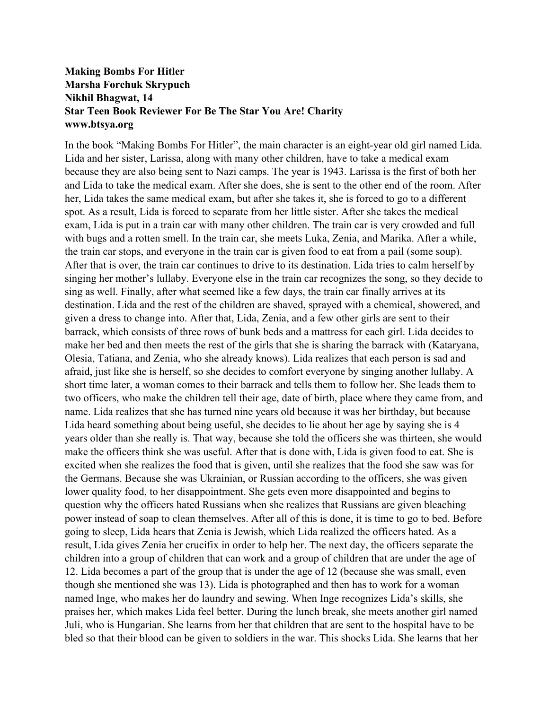## **Making Bombs For Hitler Marsha Forchuk Skrypuch Nikhil Bhagwat, 14 Star Teen Book Reviewer For Be The Star You Are! Charity www.btsya.org**

In the book "Making Bombs For Hitler", the main character is an eight-year old girl named Lida. Lida and her sister, Larissa, along with many other children, have to take a medical exam because they are also being sent to Nazi camps. The year is 1943. Larissa is the first of both her and Lida to take the medical exam. After she does, she is sent to the other end of the room. After her, Lida takes the same medical exam, but after she takes it, she is forced to go to a different spot. As a result, Lida is forced to separate from her little sister. After she takes the medical exam, Lida is put in a train car with many other children. The train car is very crowded and full with bugs and a rotten smell. In the train car, she meets Luka, Zenia, and Marika. After a while, the train car stops, and everyone in the train car is given food to eat from a pail (some soup). After that is over, the train car continues to drive to its destination. Lida tries to calm herself by singing her mother's lullaby. Everyone else in the train car recognizes the song, so they decide to sing as well. Finally, after what seemed like a few days, the train car finally arrives at its destination. Lida and the rest of the children are shaved, sprayed with a chemical, showered, and given a dress to change into. After that, Lida, Zenia, and a few other girls are sent to their barrack, which consists of three rows of bunk beds and a mattress for each girl. Lida decides to make her bed and then meets the rest of the girls that she is sharing the barrack with (Kataryana, Olesia, Tatiana, and Zenia, who she already knows). Lida realizes that each person is sad and afraid, just like she is herself, so she decides to comfort everyone by singing another lullaby. A short time later, a woman comes to their barrack and tells them to follow her. She leads them to two officers, who make the children tell their age, date of birth, place where they came from, and name. Lida realizes that she has turned nine years old because it was her birthday, but because Lida heard something about being useful, she decides to lie about her age by saying she is 4 years older than she really is. That way, because she told the officers she was thirteen, she would make the officers think she was useful. After that is done with, Lida is given food to eat. She is excited when she realizes the food that is given, until she realizes that the food she saw was for the Germans. Because she was Ukrainian, or Russian according to the officers, she was given lower quality food, to her disappointment. She gets even more disappointed and begins to question why the officers hated Russians when she realizes that Russians are given bleaching power instead of soap to clean themselves. After all of this is done, it is time to go to bed. Before going to sleep, Lida hears that Zenia is Jewish, which Lida realized the officers hated. As a result, Lida gives Zenia her crucifix in order to help her. The next day, the officers separate the children into a group of children that can work and a group of children that are under the age of 12. Lida becomes a part of the group that is under the age of 12 (because she was small, even though she mentioned she was 13). Lida is photographed and then has to work for a woman named Inge, who makes her do laundry and sewing. When Inge recognizes Lida's skills, she praises her, which makes Lida feel better. During the lunch break, she meets another girl named Juli, who is Hungarian. She learns from her that children that are sent to the hospital have to be bled so that their blood can be given to soldiers in the war. This shocks Lida. She learns that her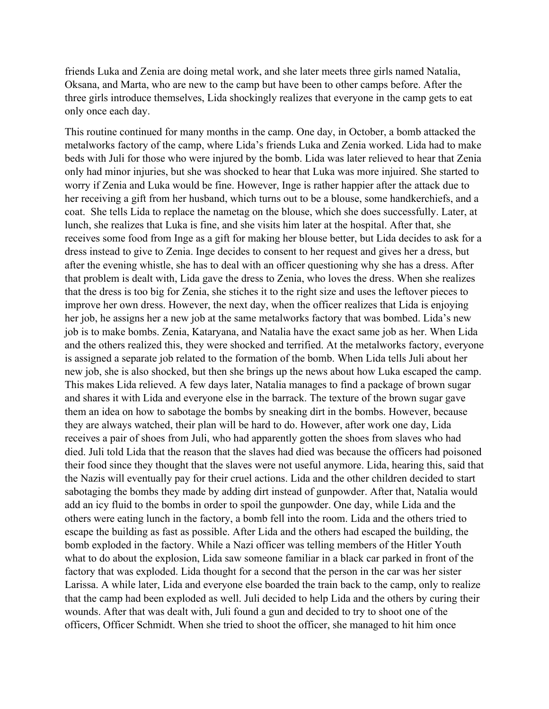friends Luka and Zenia are doing metal work, and she later meets three girls named Natalia, Oksana, and Marta, who are new to the camp but have been to other camps before. After the three girls introduce themselves, Lida shockingly realizes that everyone in the camp gets to eat only once each day.

This routine continued for many months in the camp. One day, in October, a bomb attacked the metalworks factory of the camp, where Lida's friends Luka and Zenia worked. Lida had to make beds with Juli for those who were injured by the bomb. Lida was later relieved to hear that Zenia only had minor injuries, but she was shocked to hear that Luka was more injuired. She started to worry if Zenia and Luka would be fine. However, Inge is rather happier after the attack due to her receiving a gift from her husband, which turns out to be a blouse, some handkerchiefs, and a coat. She tells Lida to replace the nametag on the blouse, which she does successfully. Later, at lunch, she realizes that Luka is fine, and she visits him later at the hospital. After that, she receives some food from Inge as a gift for making her blouse better, but Lida decides to ask for a dress instead to give to Zenia. Inge decides to consent to her request and gives her a dress, but after the evening whistle, she has to deal with an officer questioning why she has a dress. After that problem is dealt with, Lida gave the dress to Zenia, who loves the dress. When she realizes that the dress is too big for Zenia, she stiches it to the right size and uses the leftover pieces to improve her own dress. However, the next day, when the officer realizes that Lida is enjoying her job, he assigns her a new job at the same metalworks factory that was bombed. Lida's new job is to make bombs. Zenia, Kataryana, and Natalia have the exact same job as her. When Lida and the others realized this, they were shocked and terrified. At the metalworks factory, everyone is assigned a separate job related to the formation of the bomb. When Lida tells Juli about her new job, she is also shocked, but then she brings up the news about how Luka escaped the camp. This makes Lida relieved. A few days later, Natalia manages to find a package of brown sugar and shares it with Lida and everyone else in the barrack. The texture of the brown sugar gave them an idea on how to sabotage the bombs by sneaking dirt in the bombs. However, because they are always watched, their plan will be hard to do. However, after work one day, Lida receives a pair of shoes from Juli, who had apparently gotten the shoes from slaves who had died. Juli told Lida that the reason that the slaves had died was because the officers had poisoned their food since they thought that the slaves were not useful anymore. Lida, hearing this, said that the Nazis will eventually pay for their cruel actions. Lida and the other children decided to start sabotaging the bombs they made by adding dirt instead of gunpowder. After that, Natalia would add an icy fluid to the bombs in order to spoil the gunpowder. One day, while Lida and the others were eating lunch in the factory, a bomb fell into the room. Lida and the others tried to escape the building as fast as possible. After Lida and the others had escaped the building, the bomb exploded in the factory. While a Nazi officer was telling members of the Hitler Youth what to do about the explosion, Lida saw someone familiar in a black car parked in front of the factory that was exploded. Lida thought for a second that the person in the car was her sister Larissa. A while later, Lida and everyone else boarded the train back to the camp, only to realize that the camp had been exploded as well. Juli decided to help Lida and the others by curing their wounds. After that was dealt with, Juli found a gun and decided to try to shoot one of the officers, Officer Schmidt. When she tried to shoot the officer, she managed to hit him once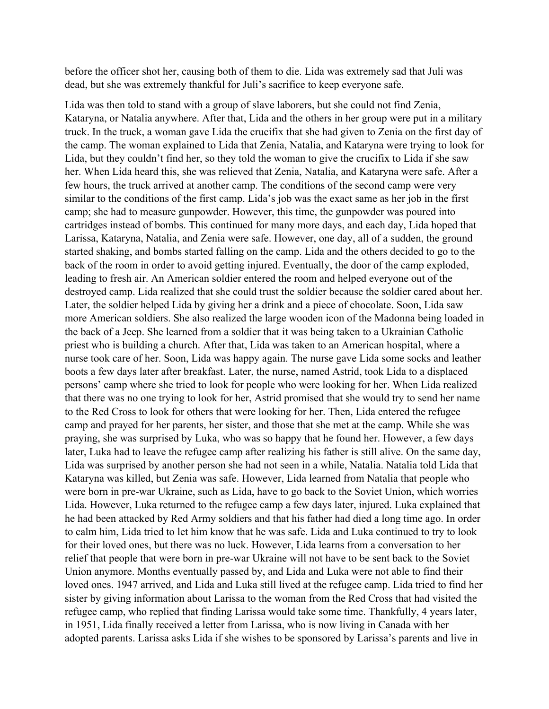before the officer shot her, causing both of them to die. Lida was extremely sad that Juli was dead, but she was extremely thankful for Juli's sacrifice to keep everyone safe.

Lida was then told to stand with a group of slave laborers, but she could not find Zenia, Kataryna, or Natalia anywhere. After that, Lida and the others in her group were put in a military truck. In the truck, a woman gave Lida the crucifix that she had given to Zenia on the first day of the camp. The woman explained to Lida that Zenia, Natalia, and Kataryna were trying to look for Lida, but they couldn't find her, so they told the woman to give the crucifix to Lida if she saw her. When Lida heard this, she was relieved that Zenia, Natalia, and Kataryna were safe. After a few hours, the truck arrived at another camp. The conditions of the second camp were very similar to the conditions of the first camp. Lida's job was the exact same as her job in the first camp; she had to measure gunpowder. However, this time, the gunpowder was poured into cartridges instead of bombs. This continued for many more days, and each day, Lida hoped that Larissa, Kataryna, Natalia, and Zenia were safe. However, one day, all of a sudden, the ground started shaking, and bombs started falling on the camp. Lida and the others decided to go to the back of the room in order to avoid getting injured. Eventually, the door of the camp exploded, leading to fresh air. An American soldier entered the room and helped everyone out of the destroyed camp. Lida realized that she could trust the soldier because the soldier cared about her. Later, the soldier helped Lida by giving her a drink and a piece of chocolate. Soon, Lida saw more American soldiers. She also realized the large wooden icon of the Madonna being loaded in the back of a Jeep. She learned from a soldier that it was being taken to a Ukrainian Catholic priest who is building a church. After that, Lida was taken to an American hospital, where a nurse took care of her. Soon, Lida was happy again. The nurse gave Lida some socks and leather boots a few days later after breakfast. Later, the nurse, named Astrid, took Lida to a displaced persons' camp where she tried to look for people who were looking for her. When Lida realized that there was no one trying to look for her, Astrid promised that she would try to send her name to the Red Cross to look for others that were looking for her. Then, Lida entered the refugee camp and prayed for her parents, her sister, and those that she met at the camp. While she was praying, she was surprised by Luka, who was so happy that he found her. However, a few days later, Luka had to leave the refugee camp after realizing his father is still alive. On the same day, Lida was surprised by another person she had not seen in a while, Natalia. Natalia told Lida that Kataryna was killed, but Zenia was safe. However, Lida learned from Natalia that people who were born in pre-war Ukraine, such as Lida, have to go back to the Soviet Union, which worries Lida. However, Luka returned to the refugee camp a few days later, injured. Luka explained that he had been attacked by Red Army soldiers and that his father had died a long time ago. In order to calm him, Lida tried to let him know that he was safe. Lida and Luka continued to try to look for their loved ones, but there was no luck. However, Lida learns from a conversation to her relief that people that were born in pre-war Ukraine will not have to be sent back to the Soviet Union anymore. Months eventually passed by, and Lida and Luka were not able to find their loved ones. 1947 arrived, and Lida and Luka still lived at the refugee camp. Lida tried to find her sister by giving information about Larissa to the woman from the Red Cross that had visited the refugee camp, who replied that finding Larissa would take some time. Thankfully, 4 years later, in 1951, Lida finally received a letter from Larissa, who is now living in Canada with her adopted parents. Larissa asks Lida if she wishes to be sponsored by Larissa's parents and live in